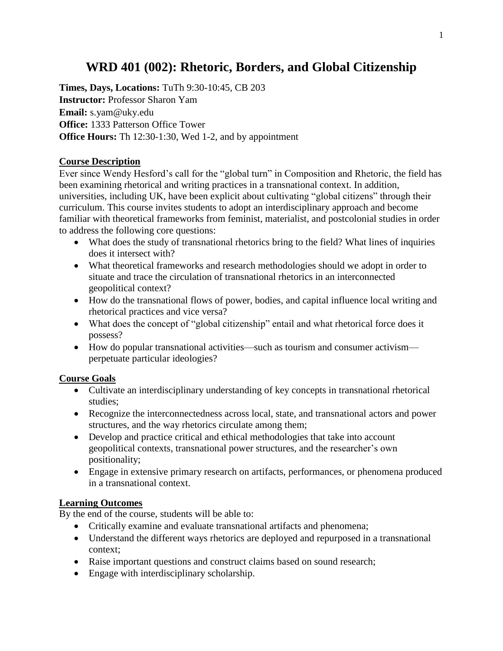# **WRD 401 (002): Rhetoric, Borders, and Global Citizenship**

**Times, Days, Locations:** TuTh 9:30-10:45, CB 203 **Instructor:** Professor Sharon Yam **Email:** s.yam@uky.edu **Office:** 1333 Patterson Office Tower **Office Hours:** Th 12:30-1:30, Wed 1-2, and by appointment

# **Course Description**

Ever since Wendy Hesford's call for the "global turn" in Composition and Rhetoric, the field has been examining rhetorical and writing practices in a transnational context. In addition, universities, including UK, have been explicit about cultivating "global citizens" through their curriculum. This course invites students to adopt an interdisciplinary approach and become familiar with theoretical frameworks from feminist, materialist, and postcolonial studies in order to address the following core questions:

- What does the study of transnational rhetorics bring to the field? What lines of inquiries does it intersect with?
- What theoretical frameworks and research methodologies should we adopt in order to situate and trace the circulation of transnational rhetorics in an interconnected geopolitical context?
- How do the transnational flows of power, bodies, and capital influence local writing and rhetorical practices and vice versa?
- What does the concept of "global citizenship" entail and what rhetorical force does it possess?
- How do popular transnational activities—such as tourism and consumer activism perpetuate particular ideologies?

### **Course Goals**

- Cultivate an interdisciplinary understanding of key concepts in transnational rhetorical studies;
- Recognize the interconnectedness across local, state, and transnational actors and power structures, and the way rhetorics circulate among them;
- Develop and practice critical and ethical methodologies that take into account geopolitical contexts, transnational power structures, and the researcher's own positionality;
- Engage in extensive primary research on artifacts, performances, or phenomena produced in a transnational context.

# **Learning Outcomes**

By the end of the course, students will be able to:

- Critically examine and evaluate transnational artifacts and phenomena;
- Understand the different ways rhetorics are deployed and repurposed in a transnational context;
- Raise important questions and construct claims based on sound research;
- Engage with interdisciplinary scholarship.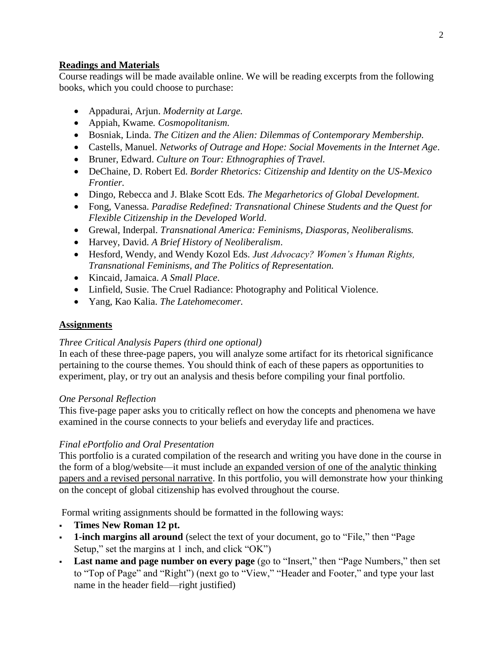# **Readings and Materials**

Course readings will be made available online. We will be reading excerpts from the following books, which you could choose to purchase:

- Appadurai, Arjun. *Modernity at Large.*
- Appiah, Kwame*. Cosmopolitanism.*
- Bosniak, Linda. *The Citizen and the Alien: Dilemmas of Contemporary Membership.*
- Castells, Manuel. *Networks of Outrage and Hope: Social Movements in the Internet Age*.
- Bruner, Edward. *Culture on Tour: Ethnographies of Travel.*
- DeChaine, D. Robert Ed. *Border Rhetorics: Citizenship and Identity on the US-Mexico Frontier.*
- Dingo, Rebecca and J. Blake Scott Eds*. The Megarhetorics of Global Development.*
- Fong, Vanessa. *Paradise Redefined: Transnational Chinese Students and the Quest for Flexible Citizenship in the Developed World*.
- Grewal, Inderpal. *Transnational America: Feminisms, Diasporas, Neoliberalisms.*
- Harvey, David. *A Brief History of Neoliberalism*.
- Hesford, Wendy, and Wendy Kozol Eds. *Just Advocacy? Women's Human Rights, Transnational Feminisms, and The Politics of Representation.*
- Kincaid, Jamaica. *A Small Place*.
- Linfield, Susie. The Cruel Radiance: Photography and Political Violence.
- Yang, Kao Kalia. *The Latehomecomer.*

# **Assignments**

# *Three Critical Analysis Papers (third one optional)*

In each of these three-page papers, you will analyze some artifact for its rhetorical significance pertaining to the course themes. You should think of each of these papers as opportunities to experiment, play, or try out an analysis and thesis before compiling your final portfolio.

### *One Personal Reflection*

This five-page paper asks you to critically reflect on how the concepts and phenomena we have examined in the course connects to your beliefs and everyday life and practices.

# *Final ePortfolio and Oral Presentation*

This portfolio is a curated compilation of the research and writing you have done in the course in the form of a blog/website—it must include an expanded version of one of the analytic thinking papers and a revised personal narrative. In this portfolio, you will demonstrate how your thinking on the concept of global citizenship has evolved throughout the course.

Formal writing assignments should be formatted in the following ways:

- **Times New Roman 12 pt.**
- **1-inch margins all around** (select the text of your document, go to "File," then "Page Setup," set the margins at 1 inch, and click "OK")
- **Last name and page number on every page** (go to "Insert," then "Page Numbers," then set to "Top of Page" and "Right") (next go to "View," "Header and Footer," and type your last name in the header field—right justified)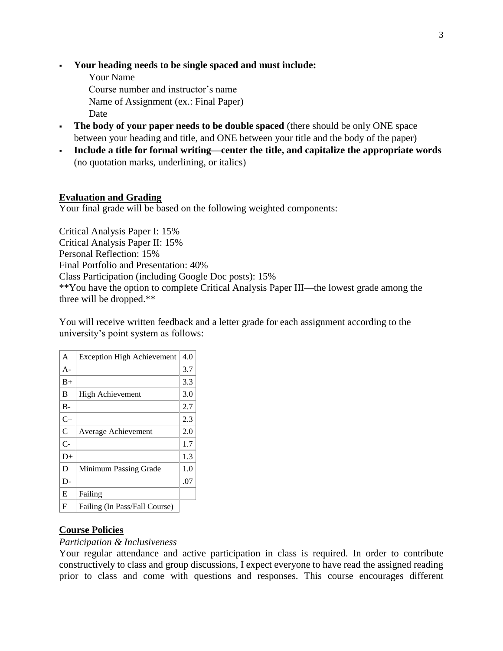- **Your heading needs to be single spaced and must include:**
	- Your Name

Course number and instructor's name

Name of Assignment (ex.: Final Paper)

Date

- **The body of your paper needs to be double spaced** (there should be only ONE space between your heading and title, and ONE between your title and the body of the paper)
- Include a title for formal writing—center the title, and capitalize the appropriate words (no quotation marks, underlining, or italics)

### **Evaluation and Grading**

Your final grade will be based on the following weighted components:

Critical Analysis Paper I: 15% Critical Analysis Paper II: 15% Personal Reflection: 15% Final Portfolio and Presentation: 40% Class Participation (including Google Doc posts): 15% \*\*You have the option to complete Critical Analysis Paper III—the lowest grade among the three will be dropped.\*\*

You will receive written feedback and a letter grade for each assignment according to the university's point system as follows:

| A              | <b>Exception High Achievement</b> | 4.0 |
|----------------|-----------------------------------|-----|
| $A -$          |                                   | 3.7 |
| $B+$           |                                   | 3.3 |
| B              | High Achievement                  | 3.0 |
| B-             |                                   | 2.7 |
| $C+$           |                                   | 2.3 |
| $\overline{C}$ | Average Achievement               | 2.0 |
| $C-$           |                                   | 1.7 |
| $D+$           |                                   | 1.3 |
| D              | Minimum Passing Grade             | 1.0 |
| D-             |                                   | .07 |
| E              | Failing                           |     |
| F              | Failing (In Pass/Fall Course)     |     |

### **Course Policies**

### *Participation & Inclusiveness*

Your regular attendance and active participation in class is required. In order to contribute constructively to class and group discussions, I expect everyone to have read the assigned reading prior to class and come with questions and responses. This course encourages different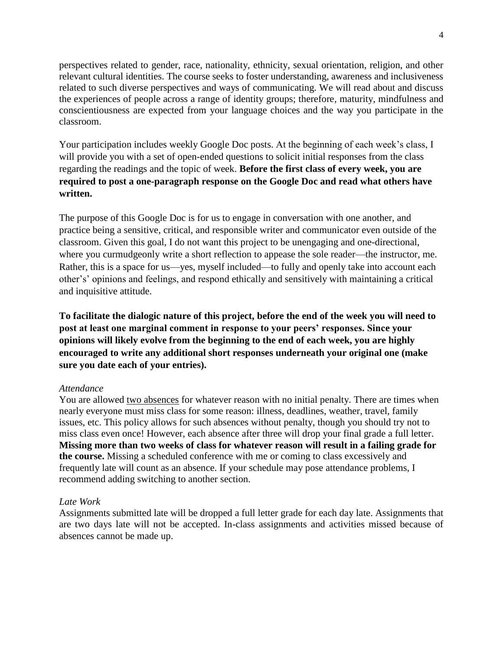perspectives related to gender, race, nationality, ethnicity, sexual orientation, religion, and other relevant cultural identities. The course seeks to foster understanding, awareness and inclusiveness related to such diverse perspectives and ways of communicating. We will read about and discuss the experiences of people across a range of identity groups; therefore, maturity, mindfulness and conscientiousness are expected from your language choices and the way you participate in the classroom.

Your participation includes weekly Google Doc posts. At the beginning of each week's class, I will provide you with a set of open-ended questions to solicit initial responses from the class regarding the readings and the topic of week. **Before the first class of every week, you are required to post a one-paragraph response on the Google Doc and read what others have written.** 

The purpose of this Google Doc is for us to engage in conversation with one another, and practice being a sensitive, critical, and responsible writer and communicator even outside of the classroom. Given this goal, I do not want this project to be unengaging and one-directional, where you curmudgeonly write a short reflection to appease the sole reader—the instructor, me. Rather, this is a space for us—yes, myself included—to fully and openly take into account each other's' opinions and feelings, and respond ethically and sensitively with maintaining a critical and inquisitive attitude.

**To facilitate the dialogic nature of this project, before the end of the week you will need to**  post at least one marginal comment in response to your peers' responses. Since your **opinions will likely evolve from the beginning to the end of each week, you are highly encouraged to write any additional short responses underneath your original one (make sure you date each of your entries).** 

### *Attendance*

You are allowed two absences for whatever reason with no initial penalty. There are times when nearly everyone must miss class for some reason: illness, deadlines, weather, travel, family issues, etc. This policy allows for such absences without penalty, though you should try not to miss class even once! However, each absence after three will drop your final grade a full letter. **Missing more than two weeks of class for whatever reason will result in a failing grade for the course.** Missing a scheduled conference with me or coming to class excessively and frequently late will count as an absence. If your schedule may pose attendance problems, I recommend adding switching to another section.

### *Late Work*

Assignments submitted late will be dropped a full letter grade for each day late. Assignments that are two days late will not be accepted. In-class assignments and activities missed because of absences cannot be made up.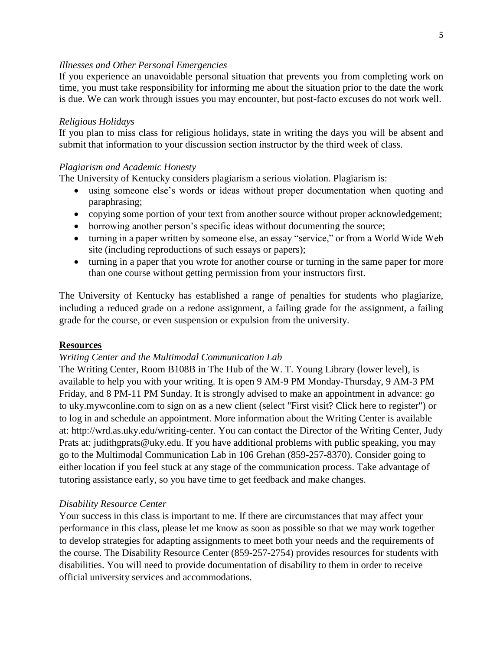### *Illnesses and Other Personal Emergencies*

If you experience an unavoidable personal situation that prevents you from completing work on time, you must take responsibility for informing me about the situation prior to the date the work is due. We can work through issues you may encounter, but post-facto excuses do not work well.

### *Religious Holidays*

If you plan to miss class for religious holidays, state in writing the days you will be absent and submit that information to your discussion section instructor by the third week of class.

### *Plagiarism and Academic Honesty*

The University of Kentucky considers plagiarism a serious violation. Plagiarism is:

- using someone else's words or ideas without proper documentation when quoting and paraphrasing;
- copying some portion of your text from another source without proper acknowledgement;
- borrowing another person's specific ideas without documenting the source;
- turning in a paper written by someone else, an essay "service," or from a World Wide Web site (including reproductions of such essays or papers);
- turning in a paper that you wrote for another course or turning in the same paper for more than one course without getting permission from your instructors first.

The University of Kentucky has established a range of penalties for students who plagiarize, including a reduced grade on a redone assignment, a failing grade for the assignment, a failing grade for the course, or even suspension or expulsion from the university.

#### **Resources**

#### *Writing Center and the Multimodal Communication Lab*

The Writing Center, Room B108B in The Hub of the W. T. Young Library (lower level), is available to help you with your writing. It is open 9 AM-9 PM Monday-Thursday, 9 AM-3 PM Friday, and 8 PM-11 PM Sunday. It is strongly advised to make an appointment in advance: go to uky.mywconline.com to sign on as a new client (select "First visit? Click here to register") or to log in and schedule an appointment. More information about the Writing Center is available at: http://wrd.as.uky.edu/writing-center. You can contact the Director of the Writing Center, Judy Prats at: judithgprats@uky.edu. If you have additional problems with public speaking, you may go to the Multimodal Communication Lab in 106 Grehan (859-257-8370). Consider going to either location if you feel stuck at any stage of the communication process. Take advantage of tutoring assistance early, so you have time to get feedback and make changes.

#### *Disability Resource Center*

Your success in this class is important to me. If there are circumstances that may affect your performance in this class, please let me know as soon as possible so that we may work together to develop strategies for adapting assignments to meet both your needs and the requirements of the course. The Disability Resource Center (859-257-2754) provides resources for students with disabilities. You will need to provide documentation of disability to them in order to receive official university services and accommodations.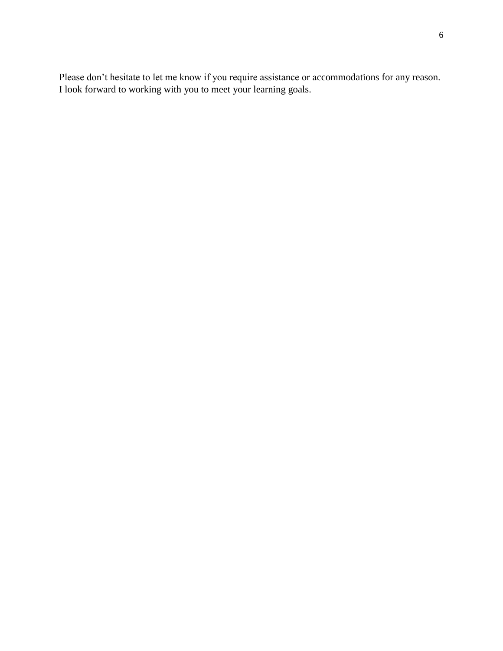Please don't hesitate to let me know if you require assistance or accommodations for any reason. I look forward to working with you to meet your learning goals.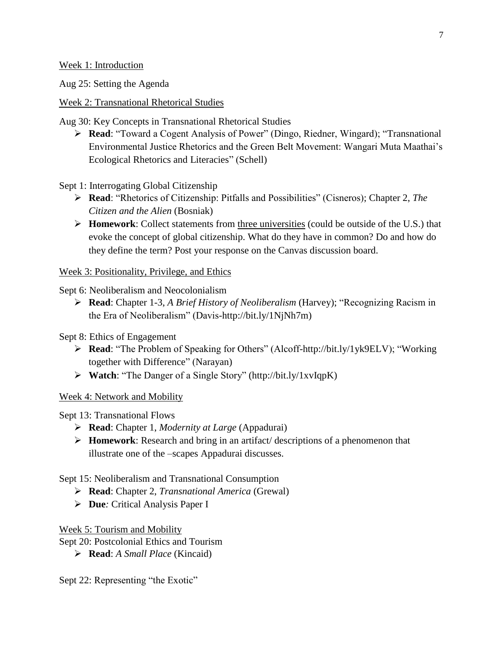Week 1: Introduction

Aug 25: Setting the Agenda

Week 2: Transnational Rhetorical Studies

Aug 30: Key Concepts in Transnational Rhetorical Studies

➢ **Read**: "Toward a Cogent Analysis of Power" (Dingo, Riedner, Wingard); "Transnational Environmental Justice Rhetorics and the Green Belt Movement: Wangari Muta Maathai's Ecological Rhetorics and Literacies" (Schell)

Sept 1: Interrogating Global Citizenship

- ➢ **Read**: "Rhetorics of Citizenship: Pitfalls and Possibilities" (Cisneros); Chapter 2, *The Citizen and the Alien* (Bosniak)
- ➢ **Homework**: Collect statements from three universities (could be outside of the U.S.) that evoke the concept of global citizenship. What do they have in common? Do and how do they define the term? Post your response on the Canvas discussion board.

Week 3: Positionality, Privilege, and Ethics

Sept 6: Neoliberalism and Neocolonialism

➢ **Read**: Chapter 1-3, *A Brief History of Neoliberalism* (Harvey); "Recognizing Racism in the Era of Neoliberalism" (Davis-http://bit.ly/1NjNh7m)

Sept 8: Ethics of Engagement

- ➢ **Read**: "The Problem of Speaking for Others" (Alcoff-http://bit.ly/1yk9ELV); "Working together with Difference" (Narayan)
- ➢ **Watch**: "The Danger of a Single Story" (http://bit.ly/1xvIqpK)

Week 4: Network and Mobility

Sept 13: Transnational Flows

- ➢ **Read**: Chapter 1, *Modernity at Large* (Appadurai)
- ➢ **Homework**: Research and bring in an artifact/ descriptions of a phenomenon that illustrate one of the –scapes Appadurai discusses.

Sept 15: Neoliberalism and Transnational Consumption

- ➢ **Read**: Chapter 2, *Transnational America* (Grewal)
- ➢ **Due***:* Critical Analysis Paper I

Week 5: Tourism and Mobility

Sept 20: Postcolonial Ethics and Tourism

➢ **Read**: *A Small Place* (Kincaid)

Sept 22: Representing "the Exotic"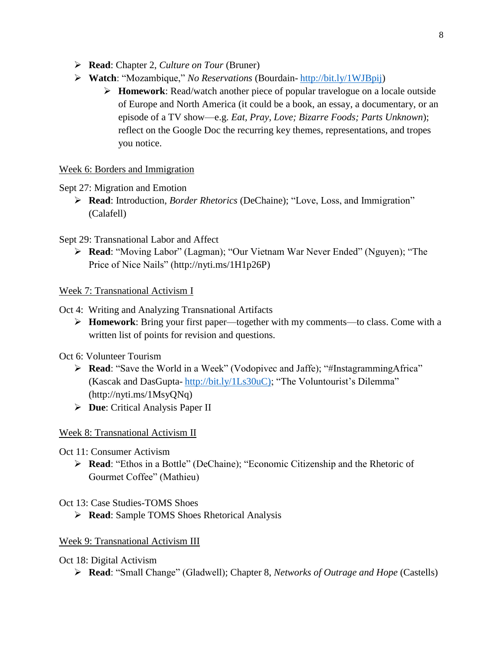- ➢ **Read**: Chapter 2, *Culture on Tour* (Bruner)
- ➢ **Watch**: "Mozambique," *No Reservations* (Bourdain- [http://bit.ly/1WJBpij\)](http://bit.ly/1WJBpij)
	- ➢ **Homework**: Read/watch another piece of popular travelogue on a locale outside of Europe and North America (it could be a book, an essay, a documentary, or an episode of a TV show—e.g. *Eat, Pray, Love; Bizarre Foods; Parts Unknown*); reflect on the Google Doc the recurring key themes, representations, and tropes you notice.

## Week 6: Borders and Immigration

## Sept 27: Migration and Emotion

➢ **Read**: Introduction, *Border Rhetorics* (DeChaine); "Love, Loss, and Immigration" (Calafell)

## Sept 29: Transnational Labor and Affect

➢ **Read**: "Moving Labor" (Lagman); "Our Vietnam War Never Ended" (Nguyen); "The Price of Nice Nails" (http://nyti.ms/1H1p26P)

Week 7: Transnational Activism I

- Oct 4: Writing and Analyzing Transnational Artifacts
	- ➢ **Homework**: Bring your first paper—together with my comments—to class. Come with a written list of points for revision and questions.
- Oct 6: Volunteer Tourism
	- ➢ **Read**: "Save the World in a Week" (Vodopivec and Jaffe); "#InstagrammingAfrica" (Kascak and DasGupta- [http://bit.ly/1Ls30uC\);](http://bit.ly/1Ls30uC)) "The Voluntourist's Dilemma" (http://nyti.ms/1MsyQNq)
	- ➢ **Due**: Critical Analysis Paper II

# Week 8: Transnational Activism II

- Oct 11: Consumer Activism
	- ➢ **Read**: "Ethos in a Bottle" (DeChaine); "Economic Citizenship and the Rhetoric of Gourmet Coffee" (Mathieu)

Oct 13: Case Studies-TOMS Shoes

➢ **Read**: Sample TOMS Shoes Rhetorical Analysis

### Week 9: Transnational Activism III

### Oct 18: Digital Activism

➢ **Read**: "Small Change" (Gladwell); Chapter 8, *Networks of Outrage and Hope* (Castells)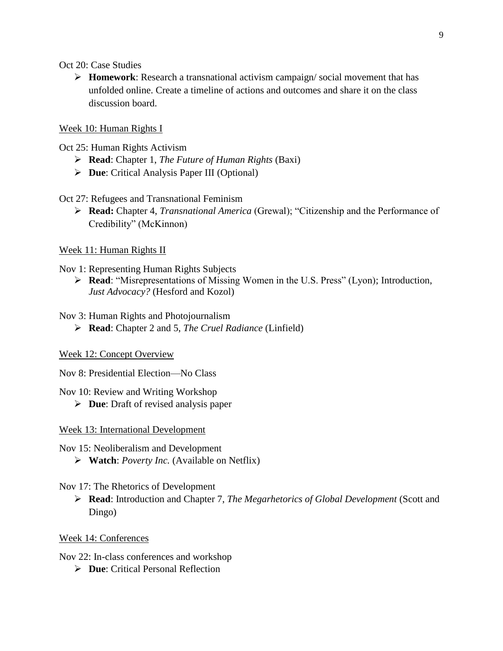Oct 20: Case Studies

➢ **Homework**: Research a transnational activism campaign/ social movement that has unfolded online. Create a timeline of actions and outcomes and share it on the class discussion board.

#### Week 10: Human Rights I

Oct 25: Human Rights Activism

- ➢ **Read**: Chapter 1, *The Future of Human Rights* (Baxi)
- ➢ **Due**: Critical Analysis Paper III (Optional)

### Oct 27: Refugees and Transnational Feminism

➢ **Read:** Chapter 4, *Transnational America* (Grewal); "Citizenship and the Performance of Credibility" (McKinnon)

### Week 11: Human Rights II

Nov 1: Representing Human Rights Subjects

- ➢ **Read**: "Misrepresentations of Missing Women in the U.S. Press" (Lyon); Introduction, *Just Advocacy?* (Hesford and Kozol)
- Nov 3: Human Rights and Photojournalism
	- ➢ **Read**: Chapter 2 and 5, *The Cruel Radiance* (Linfield)

### Week 12: Concept Overview

Nov 8: Presidential Election—No Class

Nov 10: Review and Writing Workshop

➢ **Due**: Draft of revised analysis paper

Week 13: International Development

Nov 15: Neoliberalism and Development

➢ **Watch**: *Poverty Inc.* (Available on Netflix)

### Nov 17: The Rhetorics of Development

➢ **Read**: Introduction and Chapter 7, *The Megarhetorics of Global Development* (Scott and Dingo)

Week 14: Conferences

Nov 22: In-class conferences and workshop

➢ **Due**: Critical Personal Reflection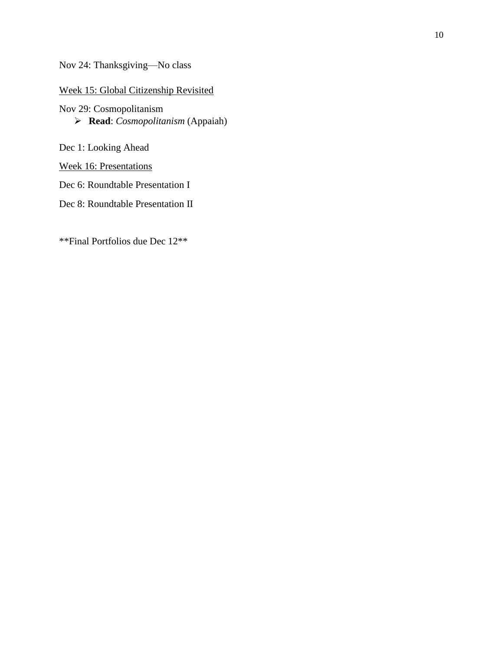Nov 24: Thanksgiving—No class

## Week 15: Global Citizenship Revisited

Nov 29: Cosmopolitanism ➢ **Read**: *Cosmopolitanism* (Appaiah)

Dec 1: Looking Ahead

Week 16: Presentations

Dec 6: Roundtable Presentation I

Dec 8: Roundtable Presentation II

\*\*Final Portfolios due Dec 12\*\*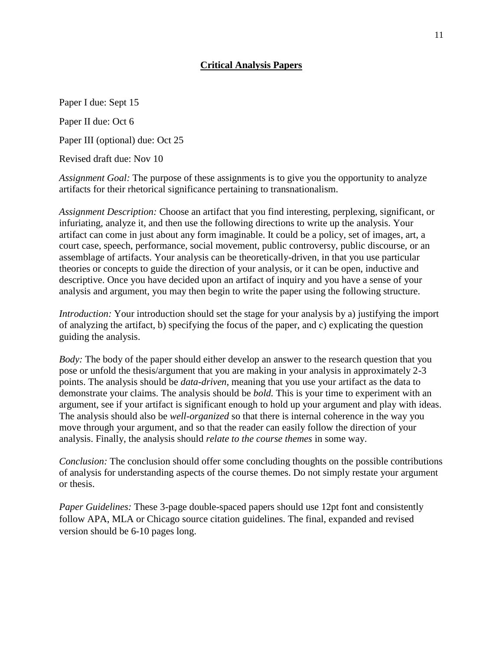## **Critical Analysis Papers**

Paper I due: Sept 15

Paper II due: Oct 6

Paper III (optional) due: Oct 25

Revised draft due: Nov 10

*Assignment Goal:* The purpose of these assignments is to give you the opportunity to analyze artifacts for their rhetorical significance pertaining to transnationalism.

*Assignment Description:* Choose an artifact that you find interesting, perplexing, significant, or infuriating, analyze it, and then use the following directions to write up the analysis. Your artifact can come in just about any form imaginable. It could be a policy, set of images, art, a court case, speech, performance, social movement, public controversy, public discourse, or an assemblage of artifacts. Your analysis can be theoretically-driven, in that you use particular theories or concepts to guide the direction of your analysis, or it can be open, inductive and descriptive. Once you have decided upon an artifact of inquiry and you have a sense of your analysis and argument, you may then begin to write the paper using the following structure.

*Introduction:* Your introduction should set the stage for your analysis by a) justifying the import of analyzing the artifact, b) specifying the focus of the paper, and c) explicating the question guiding the analysis.

*Body:* The body of the paper should either develop an answer to the research question that you pose or unfold the thesis/argument that you are making in your analysis in approximately 2-3 points. The analysis should be *data-driven*, meaning that you use your artifact as the data to demonstrate your claims. The analysis should be *bold.* This is your time to experiment with an argument, see if your artifact is significant enough to hold up your argument and play with ideas. The analysis should also be *well-organized* so that there is internal coherence in the way you move through your argument, and so that the reader can easily follow the direction of your analysis. Finally, the analysis should *relate to the course themes* in some way.

*Conclusion:* The conclusion should offer some concluding thoughts on the possible contributions of analysis for understanding aspects of the course themes. Do not simply restate your argument or thesis.

*Paper Guidelines:* These 3-page double-spaced papers should use 12pt font and consistently follow APA, MLA or Chicago source citation guidelines. The final, expanded and revised version should be 6-10 pages long.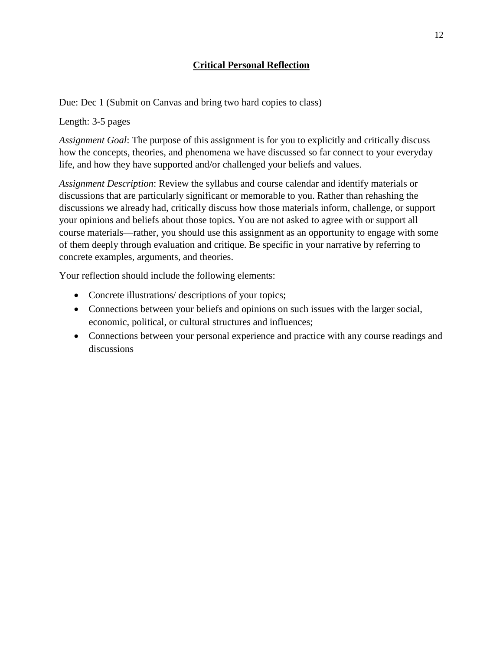# **Critical Personal Reflection**

Due: Dec 1 (Submit on Canvas and bring two hard copies to class)

Length: 3-5 pages

*Assignment Goal*: The purpose of this assignment is for you to explicitly and critically discuss how the concepts, theories, and phenomena we have discussed so far connect to your everyday life, and how they have supported and/or challenged your beliefs and values.

*Assignment Description*: Review the syllabus and course calendar and identify materials or discussions that are particularly significant or memorable to you. Rather than rehashing the discussions we already had, critically discuss how those materials inform, challenge, or support your opinions and beliefs about those topics. You are not asked to agree with or support all course materials—rather, you should use this assignment as an opportunity to engage with some of them deeply through evaluation and critique. Be specific in your narrative by referring to concrete examples, arguments, and theories.

Your reflection should include the following elements:

- Concrete illustrations/ descriptions of your topics;
- Connections between your beliefs and opinions on such issues with the larger social, economic, political, or cultural structures and influences;
- Connections between your personal experience and practice with any course readings and discussions